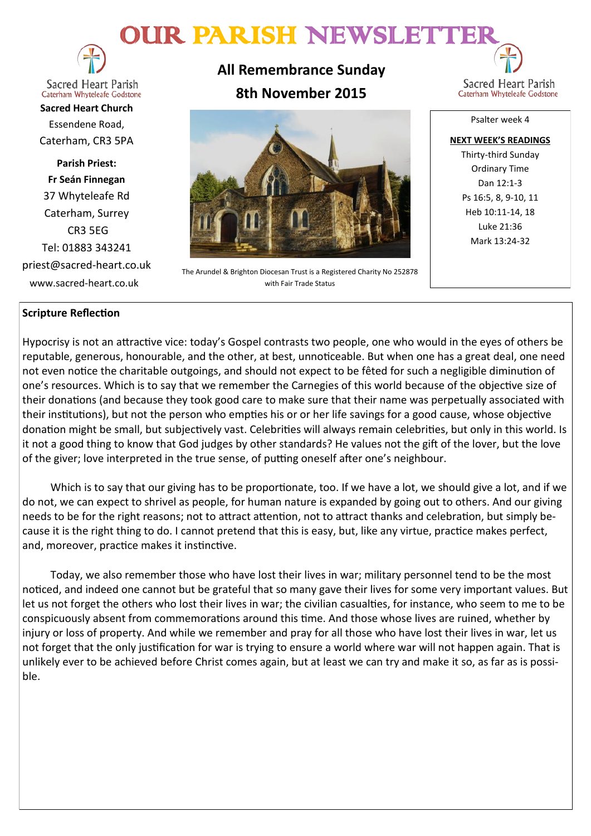# OUR PARISH NEWSLETTE



**Sacred Heart Parish** Caterham Whyteleafe Godstone

**Sacred Heart Church** Essendene Road, Caterham, CR3 5PA

**Parish Priest: Fr Seán Finnegan** 37 Whyteleafe Rd Caterham, Surrey CR3 5EG Tel: 01883 343241 priest@sacred-heart.co.uk www.sacred-heart.co.uk

**All Remembrance Sunday 8th November 2015**



The Arundel & Brighton Diocesan Trust is a Registered Charity No 252878 with Fair Trade Status

Sacred Heart Parish Caterham Whyteleafe Godstone

Psalter week 4

**NEXT WEEK'S READINGS** Thirty-third Sunday Ordinary Time Dan 12:1-3 Ps 16:5, 8, 9-10, 11 Heb 10:11-14, 18 Luke 21:36 Mark 13:24-32

## **Scripture Reflection**

Hypocrisy is not an attractive vice: today's Gospel contrasts two people, one who would in the eyes of others be reputable, generous, honourable, and the other, at best, unnoticeable. But when one has a great deal, one need not even notice the charitable outgoings, and should not expect to be fêted for such a negligible diminution of one's resources. Which is to say that we remember the Carnegies of this world because of the objective size of their donations (and because they took good care to make sure that their name was perpetually associated with their institutions), but not the person who empties his or or her life savings for a good cause, whose objective donation might be small, but subjectively vast. Celebrities will always remain celebrities, but only in this world. Is it not a good thing to know that God judges by other standards? He values not the gift of the lover, but the love of the giver; love interpreted in the true sense, of putting oneself after one's neighbour.

Which is to say that our giving has to be proportionate, too. If we have a lot, we should give a lot, and if we do not, we can expect to shrivel as people, for human nature is expanded by going out to others. And our giving needs to be for the right reasons; not to attract attention, not to attract thanks and celebration, but simply because it is the right thing to do. I cannot pretend that this is easy, but, like any virtue, practice makes perfect, and, moreover, practice makes it instinctive.

Today, we also remember those who have lost their lives in war; military personnel tend to be the most noticed, and indeed one cannot but be grateful that so many gave their lives for some very important values. But let us not forget the others who lost their lives in war; the civilian casualties, for instance, who seem to me to be conspicuously absent from commemorations around this time. And those whose lives are ruined, whether by injury or loss of property. And while we remember and pray for all those who have lost their lives in war, let us not forget that the only justification for war is trying to ensure a world where war will not happen again. That is unlikely ever to be achieved before Christ comes again, but at least we can try and make it so, as far as is possible.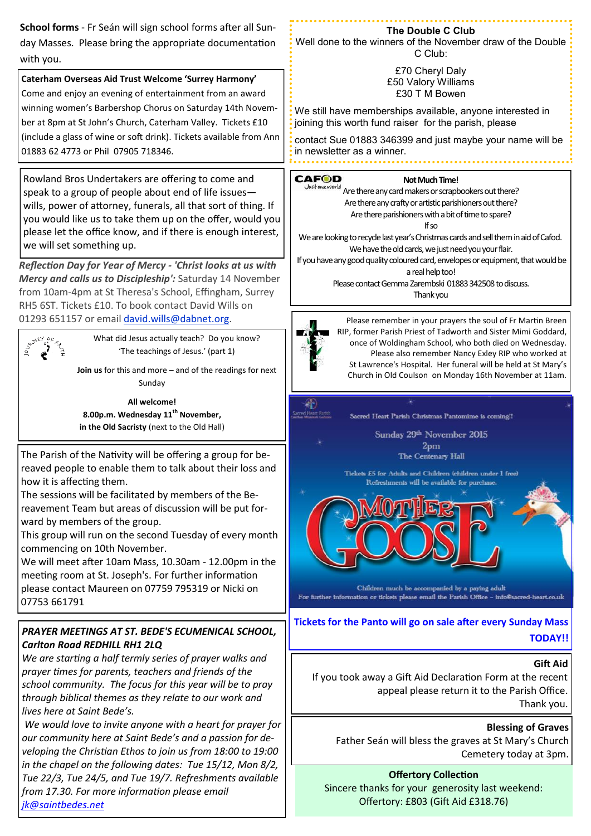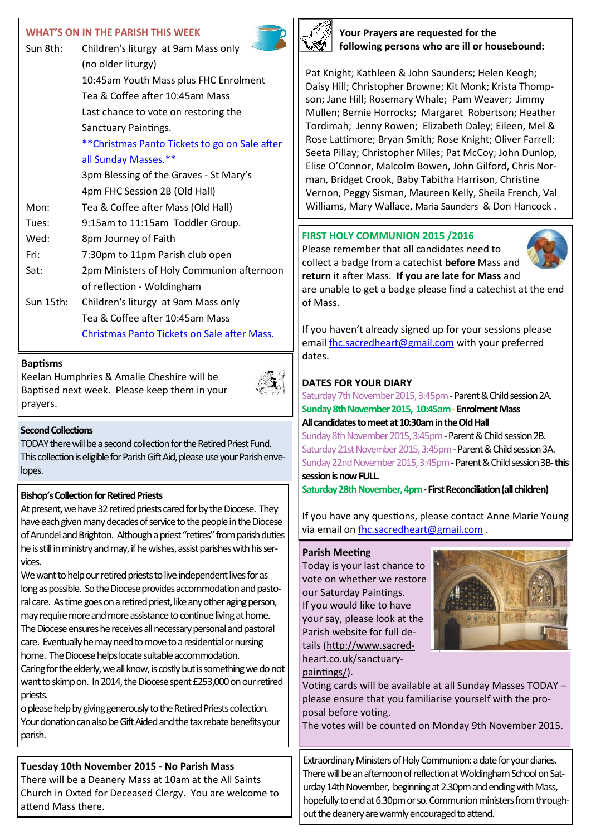#### **WHAT'S ON IN THE PARISH THIS WEEK**

| Sun 8th:  | Children's liturgy at 9am Mass only<br>(no older liturgy) |  |  |
|-----------|-----------------------------------------------------------|--|--|
|           | 10:45am Youth Mass plus FHC Enrolment                     |  |  |
|           | Tea & Coffee after 10:45am Mass                           |  |  |
|           | Last chance to vote on restoring the                      |  |  |
|           | Sanctuary Paintings.                                      |  |  |
|           | **Christmas Panto Tickets to go on Sale after             |  |  |
|           | all Sunday Masses.**                                      |  |  |
|           | 3pm Blessing of the Graves - St Mary's                    |  |  |
|           | 4pm FHC Session 2B (Old Hall)                             |  |  |
| Mon:      | Tea & Coffee after Mass (Old Hall)                        |  |  |
| Tues:     | 9:15am to 11:15am Toddler Group.                          |  |  |
| Wed:      | 8pm Journey of Faith                                      |  |  |
| Fri:      | 7:30pm to 11pm Parish club open                           |  |  |
| Sat:      | 2pm Ministers of Holy Communion afternoon                 |  |  |
|           | of reflection - Woldingham                                |  |  |
| Sun 15th: | Children's liturgy at 9am Mass only                       |  |  |
|           | Tea & Coffee after 10:45am Mass                           |  |  |
|           | Christmas Panto Tickets on Sale after Mass.               |  |  |
|           |                                                           |  |  |

#### **Baptisms**

Keelan Humphries & Amalie Cheshire will be Baptised next week. Please keep them in your prayers.



#### **Second Collections**

TODAY there will be a second collection for the Retired Priest Fund. This collection is eligible for Parish Gift Aid, please use your Parish envelopes.

#### **Bishop's Collection for Retired Priests**

At present, we have 32 retired priests cared for by the Diocese. They have each given many decades of service to the people in the Diocese of Arundel and Brighton. Although a priest "retires" from parish duties he is still in ministry and may, if he wishes, assist parishes with his services.

We want to help our retired priests to live independent lives for as long as possible. So the Diocese provides accommodation and pastoral care. As time goes on a retired priest, like any other aging person, may require more and more assistance to continue living at home. The Diocese ensures he receives all necessary personal and pastoral care. Eventually he may need to move to a residential or nursing home. The Diocese helps locate suitable accommodation. Caring for the elderly, we all know, is costly but is something we do not want to skimp on. In 2014, the Diocese spent £253,000 on our retired priests.

o please help by giving generously to the Retired Priests collection. Your donation can also be Gift Aided and the tax rebate benefits your parish.

# **Tuesday 10th November 2015 - No Parish Mass**

There will be a Deanery Mass at 10am at the All Saints Church in Oxted for Deceased Clergy. You are welcome to attend Mass there.



**Your Prayers are requested for the following persons who are ill or housebound:**

Pat Knight; Kathleen & John Saunders; Helen Keogh; Daisy Hill; Christopher Browne; Kit Monk; Krista Thompson; Jane Hill; Rosemary Whale; Pam Weaver; Jimmy Mullen; Bernie Horrocks; Margaret Robertson; Heather Tordimah; Jenny Rowen; Elizabeth Daley; Eileen, Mel & Rose Lattimore; Bryan Smith; Rose Knight; Oliver Farrell; Seeta Pillay; Christopher Miles; Pat McCoy; John Dunlop, Elise O'Connor, Malcolm Bowen, John Gilford, Chris Norman, Bridget Crook, Baby Tabitha Harrison, Christine Vernon, Peggy Sisman, Maureen Kelly, Sheila French, Val Williams, Mary Wallace, Maria Saunders & Don Hancock .

#### **FIRST HOLY COMMUNION 2015 /2016**

Please remember that all candidates need to collect a badge from a catechist **before** Mass and **return** it after Mass. **If you are late for Mass** and are unable to get a badge please find a catechist at the end of Mass.

If you haven't already signed up for your sessions please email [fhc.sacredheart@gmail.com](mailto:fhc.sacredheart@gmail.com) with your preferred dates.

## **DATES FOR YOUR DIARY**

Saturday 7th November 2015, 3:45pm - Parent & Child session 2A. **Sunday 8th November 2015, 10:45am -Enrolment Mass All candidates to meet at 10:30am in the Old Hall**

Sunday 8th November 2015, 3:45pm - Parent & Child session 2B. Saturday 21st November 2015, 3:45pm - Parent & Child session 3A. Sunday 22nd November 2015, 3:45pm -Parent & Child session 3B**-this session is now FULL.**

**Saturday 28th November, 4pm -First Reconciliation (all children)**

If you have any questions, please contact Anne Marie Young via email on [fhc.sacredheart@gmail.com](mailto:fhc.sacredheart@gmail.com) .

#### **Parish Meeting**

Today is your last chance to vote on whether we restore our Saturday Paintings. If you would like to have your say, please look at the Parish website for full details ([http://www.sacred](http://sacred-heart.us7.list-manage.com/track/click?u=8106c5cc9588c330e5228c2d0&id=f54e7e39b6&e=1a5b3f14ba)[heart.co.uk/sanctuary](http://sacred-heart.us7.list-manage.com/track/click?u=8106c5cc9588c330e5228c2d0&id=f54e7e39b6&e=1a5b3f14ba)-



[paintings/\)](http://sacred-heart.us7.list-manage.com/track/click?u=8106c5cc9588c330e5228c2d0&id=f54e7e39b6&e=1a5b3f14ba). Voting cards will be available at all Sunday Masses TODAY – please ensure that you familiarise yourself with the proposal before voting.

The votes will be counted on Monday 9th November 2015.

Extraordinary Ministers of Holy Communion: a date for your diaries. There will be an afternoon of reflection at Woldingham School on Saturday 14th November, beginning at 2.30pm and ending with Mass, hopefully to end at 6.30pm or so. Communion ministers from throughout the deanery are warmly encouraged to attend.